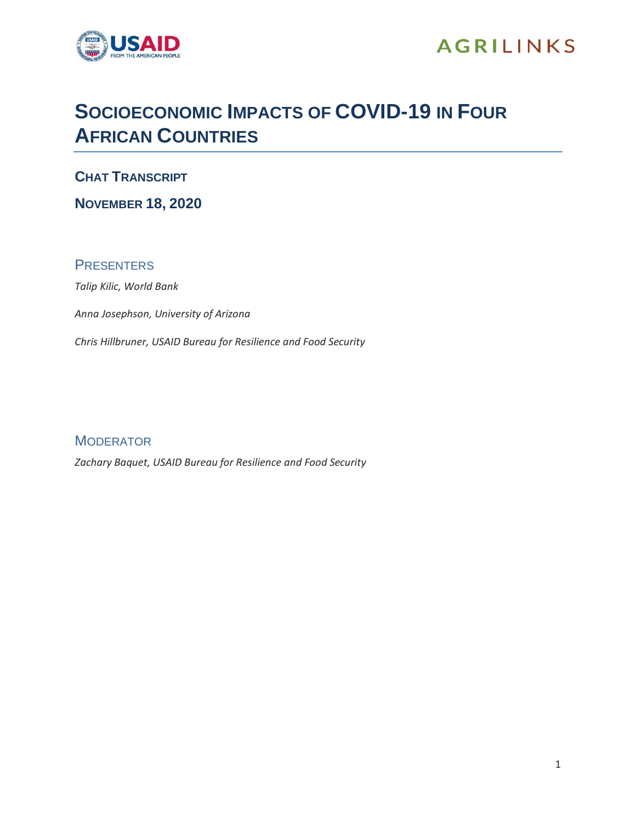

## **AGRILINKS**

## **SOCIOECONOMIC IMPACTS OF COVID-19 IN FOUR AFRICAN COUNTRIES**

**CHAT TRANSCRIPT**

**NOVEMBER 18, 2020**

## **PRESENTERS**

*Talip Kilic, World Bank*

*Anna Josephson, University of Arizona*

*Chris Hillbruner, USAID Bureau for Resilience and Food Security*

**MODERATOR** 

*Zachary Baquet, USAID Bureau for Resilience and Food Security*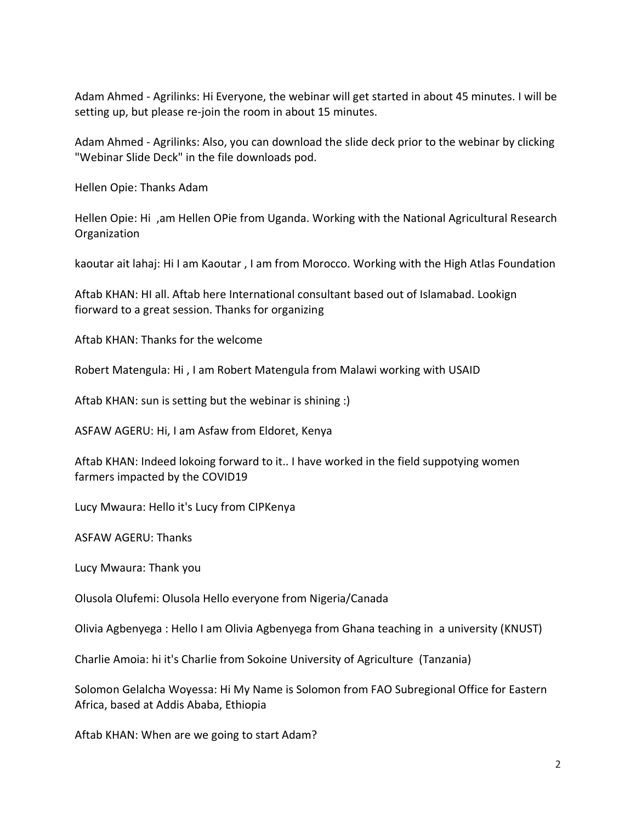Adam Ahmed - Agrilinks: Hi Everyone, the webinar will get started in about 45 minutes. I will be setting up, but please re-join the room in about 15 minutes.

Adam Ahmed - Agrilinks: Also, you can download the slide deck prior to the webinar by clicking "Webinar Slide Deck" in the file downloads pod.

Hellen Opie: Thanks Adam

Hellen Opie: Hi ,am Hellen OPie from Uganda. Working with the National Agricultural Research Organization

kaoutar ait lahaj: Hi I am Kaoutar , I am from Morocco. Working with the High Atlas Foundation

Aftab KHAN: HI all. Aftab here International consultant based out of Islamabad. Lookign fiorward to a great session. Thanks for organizing

Aftab KHAN: Thanks for the welcome

Robert Matengula: Hi , I am Robert Matengula from Malawi working with USAID

Aftab KHAN: sun is setting but the webinar is shining :)

ASFAW AGERU: Hi, I am Asfaw from Eldoret, Kenya

Aftab KHAN: Indeed lokoing forward to it.. I have worked in the field suppotying women farmers impacted by the COVID19

Lucy Mwaura: Hello it's Lucy from CIPKenya

ASFAW AGERU: Thanks

Lucy Mwaura: Thank you

Olusola Olufemi: Olusola Hello everyone from Nigeria/Canada

Olivia Agbenyega : Hello I am Olivia Agbenyega from Ghana teaching in a university (KNUST)

Charlie Amoia: hi it's Charlie from Sokoine University of Agriculture (Tanzania)

Solomon Gelalcha Woyessa: Hi My Name is Solomon from FAO Subregional Office for Eastern Africa, based at Addis Ababa, Ethiopia

Aftab KHAN: When are we going to start Adam?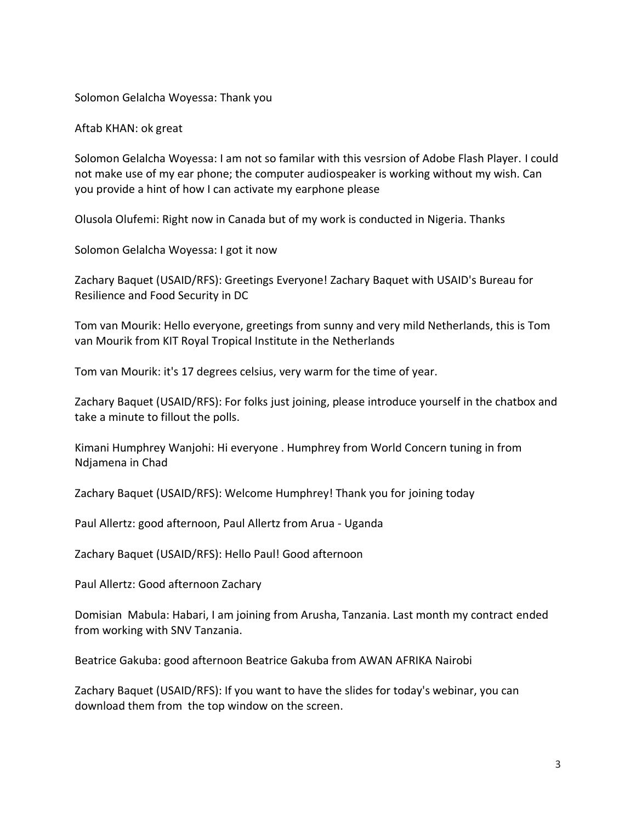Solomon Gelalcha Woyessa: Thank you

Aftab KHAN: ok great

Solomon Gelalcha Woyessa: I am not so familar with this vesrsion of Adobe Flash Player. I could not make use of my ear phone; the computer audiospeaker is working without my wish. Can you provide a hint of how I can activate my earphone please

Olusola Olufemi: Right now in Canada but of my work is conducted in Nigeria. Thanks

Solomon Gelalcha Woyessa: I got it now

Zachary Baquet (USAID/RFS): Greetings Everyone! Zachary Baquet with USAID's Bureau for Resilience and Food Security in DC

Tom van Mourik: Hello everyone, greetings from sunny and very mild Netherlands, this is Tom van Mourik from KIT Royal Tropical Institute in the Netherlands

Tom van Mourik: it's 17 degrees celsius, very warm for the time of year.

Zachary Baquet (USAID/RFS): For folks just joining, please introduce yourself in the chatbox and take a minute to fillout the polls.

Kimani Humphrey Wanjohi: Hi everyone . Humphrey from World Concern tuning in from Ndjamena in Chad

Zachary Baquet (USAID/RFS): Welcome Humphrey! Thank you for joining today

Paul Allertz: good afternoon, Paul Allertz from Arua - Uganda

Zachary Baquet (USAID/RFS): Hello Paul! Good afternoon

Paul Allertz: Good afternoon Zachary

Domisian Mabula: Habari, I am joining from Arusha, Tanzania. Last month my contract ended from working with SNV Tanzania.

Beatrice Gakuba: good afternoon Beatrice Gakuba from AWAN AFRIKA Nairobi

Zachary Baquet (USAID/RFS): If you want to have the slides for today's webinar, you can download them from the top window on the screen.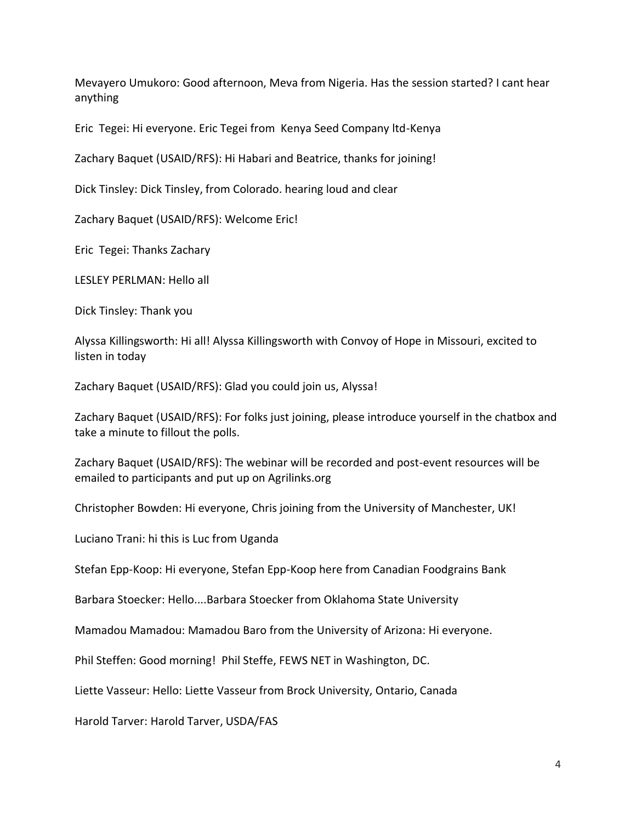Mevayero Umukoro: Good afternoon, Meva from Nigeria. Has the session started? I cant hear anything

Eric Tegei: Hi everyone. Eric Tegei from Kenya Seed Company ltd-Kenya

Zachary Baquet (USAID/RFS): Hi Habari and Beatrice, thanks for joining!

Dick Tinsley: Dick Tinsley, from Colorado. hearing loud and clear

Zachary Baquet (USAID/RFS): Welcome Eric!

Eric Tegei: Thanks Zachary

LESLEY PERLMAN: Hello all

Dick Tinsley: Thank you

Alyssa Killingsworth: Hi all! Alyssa Killingsworth with Convoy of Hope in Missouri, excited to listen in today

Zachary Baquet (USAID/RFS): Glad you could join us, Alyssa!

Zachary Baquet (USAID/RFS): For folks just joining, please introduce yourself in the chatbox and take a minute to fillout the polls.

Zachary Baquet (USAID/RFS): The webinar will be recorded and post-event resources will be emailed to participants and put up on Agrilinks.org

Christopher Bowden: Hi everyone, Chris joining from the University of Manchester, UK!

Luciano Trani: hi this is Luc from Uganda

Stefan Epp-Koop: Hi everyone, Stefan Epp-Koop here from Canadian Foodgrains Bank

Barbara Stoecker: Hello....Barbara Stoecker from Oklahoma State University

Mamadou Mamadou: Mamadou Baro from the University of Arizona: Hi everyone.

Phil Steffen: Good morning! Phil Steffe, FEWS NET in Washington, DC.

Liette Vasseur: Hello: Liette Vasseur from Brock University, Ontario, Canada

Harold Tarver: Harold Tarver, USDA/FAS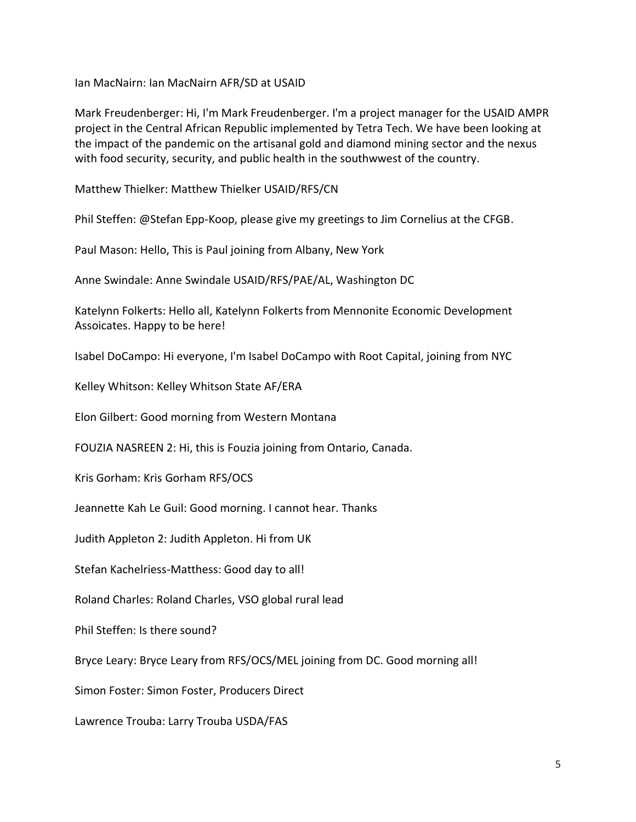Ian MacNairn: Ian MacNairn AFR/SD at USAID

Mark Freudenberger: Hi, I'm Mark Freudenberger. I'm a project manager for the USAID AMPR project in the Central African Republic implemented by Tetra Tech. We have been looking at the impact of the pandemic on the artisanal gold and diamond mining sector and the nexus with food security, security, and public health in the southwwest of the country.

Matthew Thielker: Matthew Thielker USAID/RFS/CN

Phil Steffen: @Stefan Epp-Koop, please give my greetings to Jim Cornelius at the CFGB.

Paul Mason: Hello, This is Paul joining from Albany, New York

Anne Swindale: Anne Swindale USAID/RFS/PAE/AL, Washington DC

Katelynn Folkerts: Hello all, Katelynn Folkerts from Mennonite Economic Development Assoicates. Happy to be here!

Isabel DoCampo: Hi everyone, I'm Isabel DoCampo with Root Capital, joining from NYC

Kelley Whitson: Kelley Whitson State AF/ERA

Elon Gilbert: Good morning from Western Montana

FOUZIA NASREEN 2: Hi, this is Fouzia joining from Ontario, Canada.

Kris Gorham: Kris Gorham RFS/OCS

Jeannette Kah Le Guil: Good morning. I cannot hear. Thanks

Judith Appleton 2: Judith Appleton. Hi from UK

Stefan Kachelriess-Matthess: Good day to all!

Roland Charles: Roland Charles, VSO global rural lead

Phil Steffen: Is there sound?

Bryce Leary: Bryce Leary from RFS/OCS/MEL joining from DC. Good morning all!

Simon Foster: Simon Foster, Producers Direct

Lawrence Trouba: Larry Trouba USDA/FAS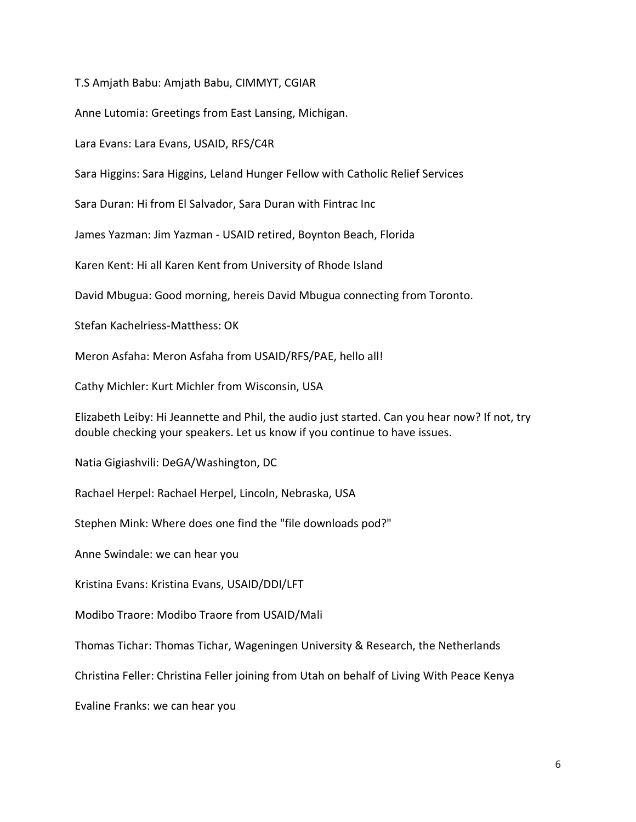T.S Amjath Babu: Amjath Babu, CIMMYT, CGIAR

Anne Lutomia: Greetings from East Lansing, Michigan.

Lara Evans: Lara Evans, USAID, RFS/C4R

Sara Higgins: Sara Higgins, Leland Hunger Fellow with Catholic Relief Services

Sara Duran: Hi from El Salvador, Sara Duran with Fintrac Inc

James Yazman: Jim Yazman - USAID retired, Boynton Beach, Florida

Karen Kent: Hi all Karen Kent from University of Rhode Island

David Mbugua: Good morning, hereis David Mbugua connecting from Toronto.

Stefan Kachelriess-Matthess: OK

Meron Asfaha: Meron Asfaha from USAID/RFS/PAE, hello all!

Cathy Michler: Kurt Michler from Wisconsin, USA

Elizabeth Leiby: Hi Jeannette and Phil, the audio just started. Can you hear now? If not, try double checking your speakers. Let us know if you continue to have issues.

Natia Gigiashvili: DeGA/Washington, DC

Rachael Herpel: Rachael Herpel, Lincoln, Nebraska, USA

Stephen Mink: Where does one find the "file downloads pod?"

Anne Swindale: we can hear you

Kristina Evans: Kristina Evans, USAID/DDI/LFT

Modibo Traore: Modibo Traore from USAID/Mali

Thomas Tichar: Thomas Tichar, Wageningen University & Research, the Netherlands

Christina Feller: Christina Feller joining from Utah on behalf of Living With Peace Kenya

Evaline Franks: we can hear you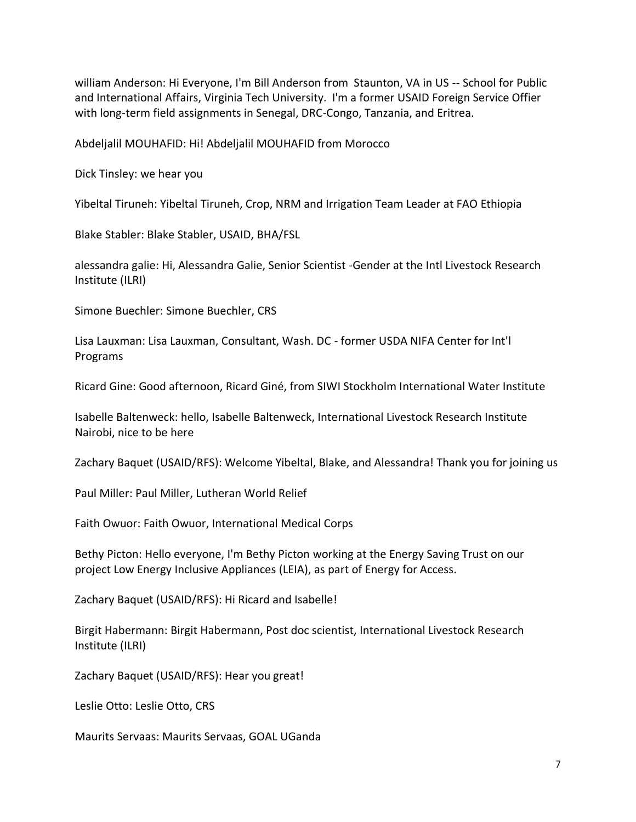william Anderson: Hi Everyone, I'm Bill Anderson from Staunton, VA in US -- School for Public and International Affairs, Virginia Tech University. I'm a former USAID Foreign Service Offier with long-term field assignments in Senegal, DRC-Congo, Tanzania, and Eritrea.

Abdeljalil MOUHAFID: Hi! Abdeljalil MOUHAFID from Morocco

Dick Tinsley: we hear you

Yibeltal Tiruneh: Yibeltal Tiruneh, Crop, NRM and Irrigation Team Leader at FAO Ethiopia

Blake Stabler: Blake Stabler, USAID, BHA/FSL

alessandra galie: Hi, Alessandra Galie, Senior Scientist -Gender at the Intl Livestock Research Institute (ILRI)

Simone Buechler: Simone Buechler, CRS

Lisa Lauxman: Lisa Lauxman, Consultant, Wash. DC - former USDA NIFA Center for Int'l Programs

Ricard Gine: Good afternoon, Ricard Giné, from SIWI Stockholm International Water Institute

Isabelle Baltenweck: hello, Isabelle Baltenweck, International Livestock Research Institute Nairobi, nice to be here

Zachary Baquet (USAID/RFS): Welcome Yibeltal, Blake, and Alessandra! Thank you for joining us

Paul Miller: Paul Miller, Lutheran World Relief

Faith Owuor: Faith Owuor, International Medical Corps

Bethy Picton: Hello everyone, I'm Bethy Picton working at the Energy Saving Trust on our project Low Energy Inclusive Appliances (LEIA), as part of Energy for Access.

Zachary Baquet (USAID/RFS): Hi Ricard and Isabelle!

Birgit Habermann: Birgit Habermann, Post doc scientist, International Livestock Research Institute (ILRI)

Zachary Baquet (USAID/RFS): Hear you great!

Leslie Otto: Leslie Otto, CRS

Maurits Servaas: Maurits Servaas, GOAL UGanda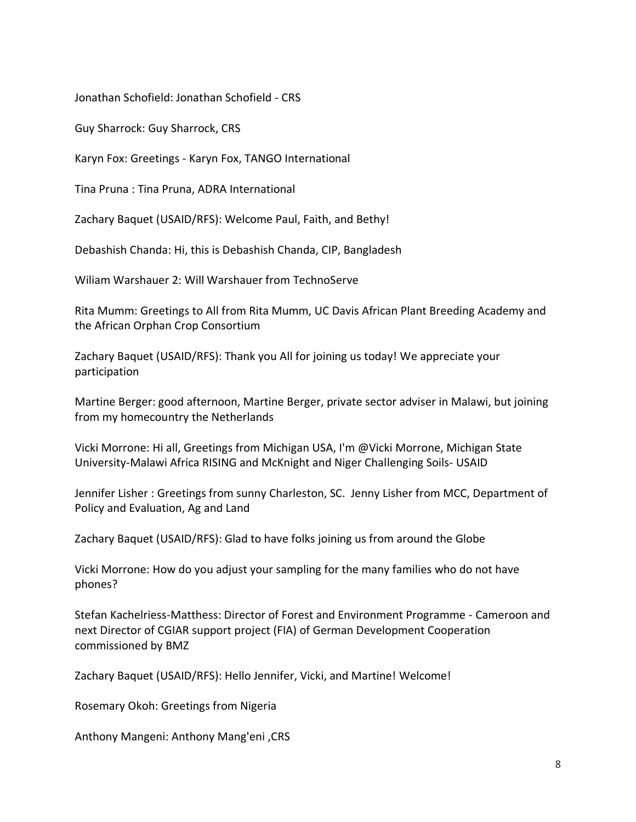Jonathan Schofield: Jonathan Schofield - CRS

Guy Sharrock: Guy Sharrock, CRS

Karyn Fox: Greetings - Karyn Fox, TANGO International

Tina Pruna : Tina Pruna, ADRA International

Zachary Baquet (USAID/RFS): Welcome Paul, Faith, and Bethy!

Debashish Chanda: Hi, this is Debashish Chanda, CIP, Bangladesh

Wiliam Warshauer 2: Will Warshauer from TechnoServe

Rita Mumm: Greetings to All from Rita Mumm, UC Davis African Plant Breeding Academy and the African Orphan Crop Consortium

Zachary Baquet (USAID/RFS): Thank you All for joining us today! We appreciate your participation

Martine Berger: good afternoon, Martine Berger, private sector adviser in Malawi, but joining from my homecountry the Netherlands

Vicki Morrone: Hi all, Greetings from Michigan USA, I'm @Vicki Morrone, Michigan State University-Malawi Africa RISING and McKnight and Niger Challenging Soils- USAID

Jennifer Lisher : Greetings from sunny Charleston, SC. Jenny Lisher from MCC, Department of Policy and Evaluation, Ag and Land

Zachary Baquet (USAID/RFS): Glad to have folks joining us from around the Globe

Vicki Morrone: How do you adjust your sampling for the many families who do not have phones?

Stefan Kachelriess-Matthess: Director of Forest and Environment Programme - Cameroon and next Director of CGIAR support project (FIA) of German Development Cooperation commissioned by BMZ

Zachary Baquet (USAID/RFS): Hello Jennifer, Vicki, and Martine! Welcome!

Rosemary Okoh: Greetings from Nigeria

Anthony Mangeni: Anthony Mang'eni ,CRS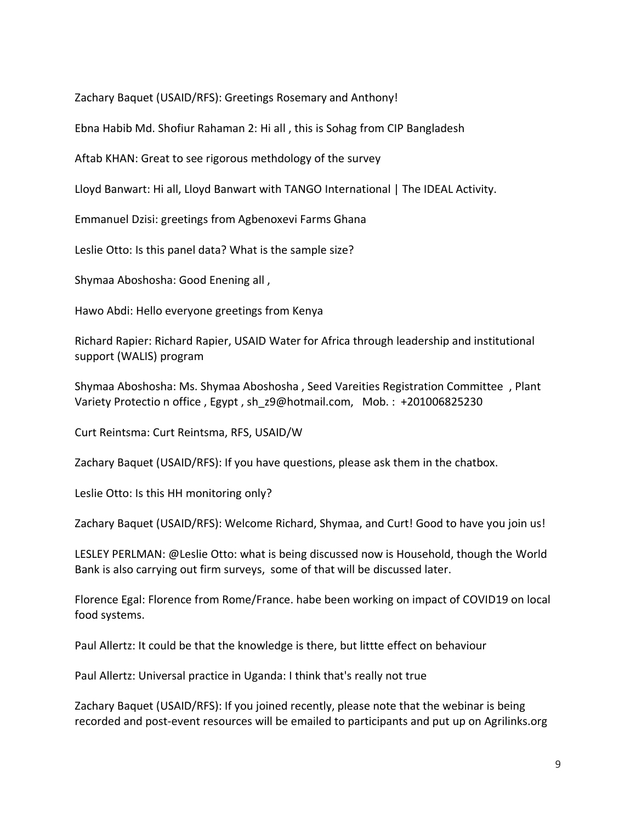Zachary Baquet (USAID/RFS): Greetings Rosemary and Anthony!

Ebna Habib Md. Shofiur Rahaman 2: Hi all , this is Sohag from CIP Bangladesh

Aftab KHAN: Great to see rigorous methdology of the survey

Lloyd Banwart: Hi all, Lloyd Banwart with TANGO International | The IDEAL Activity.

Emmanuel Dzisi: greetings from Agbenoxevi Farms Ghana

Leslie Otto: Is this panel data? What is the sample size?

Shymaa Aboshosha: Good Enening all ,

Hawo Abdi: Hello everyone greetings from Kenya

Richard Rapier: Richard Rapier, USAID Water for Africa through leadership and institutional support (WALIS) program

Shymaa Aboshosha: Ms. Shymaa Aboshosha , Seed Vareities Registration Committee , Plant Variety Protectio n office, Egypt, sh\_z9@hotmail.com, Mob. : +201006825230

Curt Reintsma: Curt Reintsma, RFS, USAID/W

Zachary Baquet (USAID/RFS): If you have questions, please ask them in the chatbox.

Leslie Otto: Is this HH monitoring only?

Zachary Baquet (USAID/RFS): Welcome Richard, Shymaa, and Curt! Good to have you join us!

LESLEY PERLMAN: @Leslie Otto: what is being discussed now is Household, though the World Bank is also carrying out firm surveys, some of that will be discussed later.

Florence Egal: Florence from Rome/France. habe been working on impact of COVID19 on local food systems.

Paul Allertz: It could be that the knowledge is there, but littte effect on behaviour

Paul Allertz: Universal practice in Uganda: I think that's really not true

Zachary Baquet (USAID/RFS): If you joined recently, please note that the webinar is being recorded and post-event resources will be emailed to participants and put up on Agrilinks.org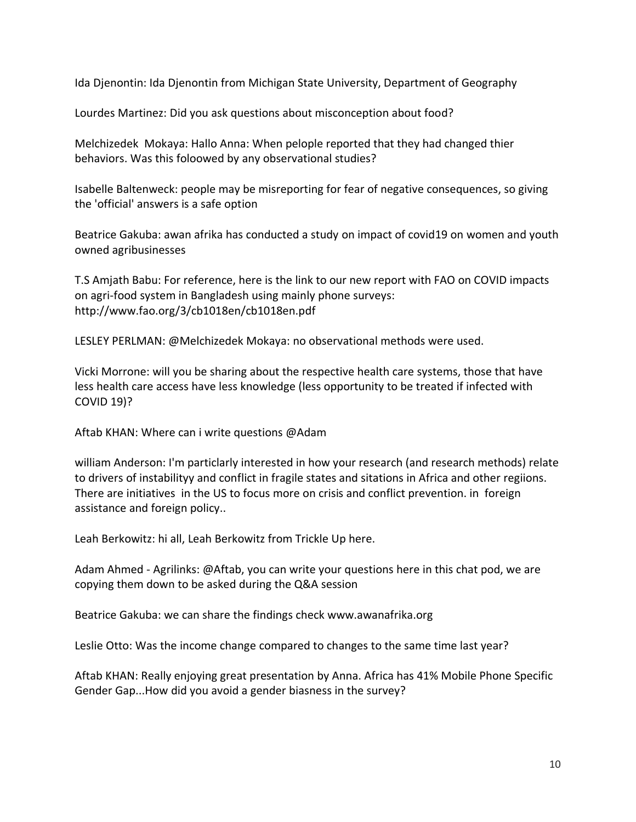Ida Djenontin: Ida Djenontin from Michigan State University, Department of Geography

Lourdes Martinez: Did you ask questions about misconception about food?

Melchizedek Mokaya: Hallo Anna: When pelople reported that they had changed thier behaviors. Was this foloowed by any observational studies?

Isabelle Baltenweck: people may be misreporting for fear of negative consequences, so giving the 'official' answers is a safe option

Beatrice Gakuba: awan afrika has conducted a study on impact of covid19 on women and youth owned agribusinesses

T.S Amjath Babu: For reference, here is the link to our new report with FAO on COVID impacts on agri-food system in Bangladesh using mainly phone surveys: http://www.fao.org/3/cb1018en/cb1018en.pdf

LESLEY PERLMAN: @Melchizedek Mokaya: no observational methods were used.

Vicki Morrone: will you be sharing about the respective health care systems, those that have less health care access have less knowledge (less opportunity to be treated if infected with COVID 19)?

Aftab KHAN: Where can i write questions @Adam

william Anderson: I'm particlarly interested in how your research (and research methods) relate to drivers of instabilityy and conflict in fragile states and sitations in Africa and other regiions. There are initiatives in the US to focus more on crisis and conflict prevention. in foreign assistance and foreign policy..

Leah Berkowitz: hi all, Leah Berkowitz from Trickle Up here.

Adam Ahmed - Agrilinks: @Aftab, you can write your questions here in this chat pod, we are copying them down to be asked during the Q&A session

Beatrice Gakuba: we can share the findings check www.awanafrika.org

Leslie Otto: Was the income change compared to changes to the same time last year?

Aftab KHAN: Really enjoying great presentation by Anna. Africa has 41% Mobile Phone Specific Gender Gap...How did you avoid a gender biasness in the survey?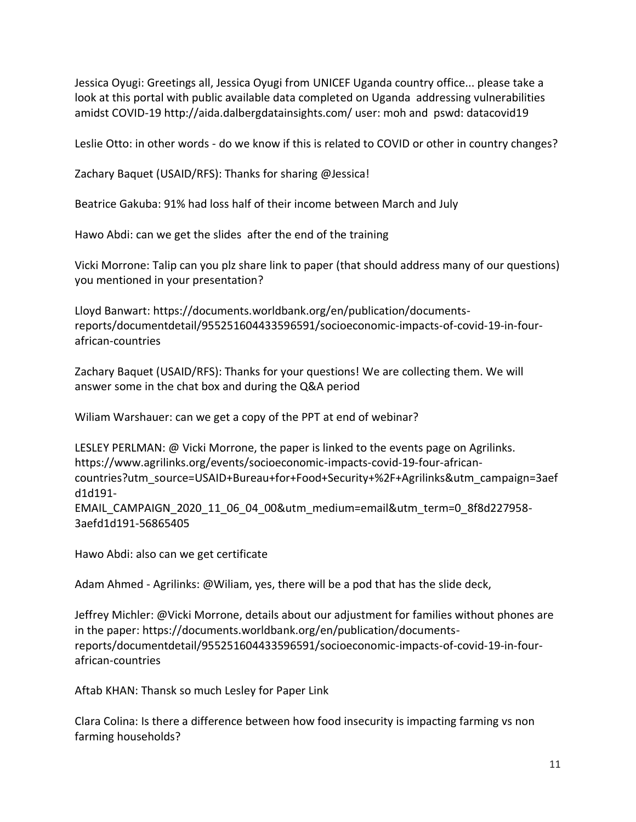Jessica Oyugi: Greetings all, Jessica Oyugi from UNICEF Uganda country office... please take a look at this portal with public available data completed on Uganda addressing vulnerabilities amidst COVID-19 http://aida.dalbergdatainsights.com/ user: moh and pswd: datacovid19

Leslie Otto: in other words - do we know if this is related to COVID or other in country changes?

Zachary Baquet (USAID/RFS): Thanks for sharing @Jessica!

Beatrice Gakuba: 91% had loss half of their income between March and July

Hawo Abdi: can we get the slides after the end of the training

Vicki Morrone: Talip can you plz share link to paper (that should address many of our questions) you mentioned in your presentation?

Lloyd Banwart: https://documents.worldbank.org/en/publication/documentsreports/documentdetail/955251604433596591/socioeconomic-impacts-of-covid-19-in-fourafrican-countries

Zachary Baquet (USAID/RFS): Thanks for your questions! We are collecting them. We will answer some in the chat box and during the Q&A period

Wiliam Warshauer: can we get a copy of the PPT at end of webinar?

LESLEY PERLMAN: @ Vicki Morrone, the paper is linked to the events page on Agrilinks. https://www.agrilinks.org/events/socioeconomic-impacts-covid-19-four-africancountries?utm\_source=USAID+Bureau+for+Food+Security+%2F+Agrilinks&utm\_campaign=3aef d1d191- EMAIL\_CAMPAIGN\_2020\_11\_06\_04\_00&utm\_medium=email&utm\_term=0\_8f8d227958- 3aefd1d191-56865405

Hawo Abdi: also can we get certificate

Adam Ahmed - Agrilinks: @Wiliam, yes, there will be a pod that has the slide deck,

Jeffrey Michler: @Vicki Morrone, details about our adjustment for families without phones are in the paper: https://documents.worldbank.org/en/publication/documentsreports/documentdetail/955251604433596591/socioeconomic-impacts-of-covid-19-in-fourafrican-countries

Aftab KHAN: Thansk so much Lesley for Paper Link

Clara Colina: Is there a difference between how food insecurity is impacting farming vs non farming households?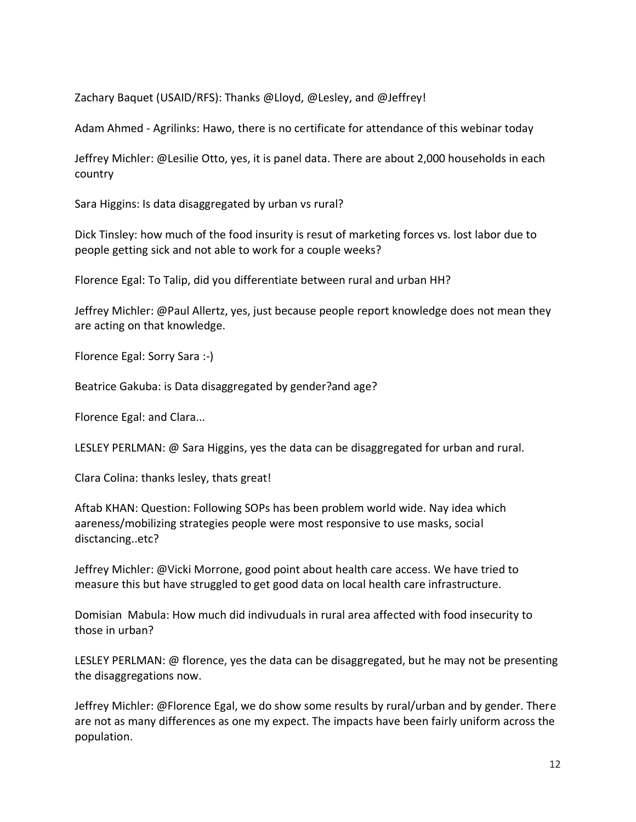Zachary Baquet (USAID/RFS): Thanks @Lloyd, @Lesley, and @Jeffrey!

Adam Ahmed - Agrilinks: Hawo, there is no certificate for attendance of this webinar today

Jeffrey Michler: @Lesilie Otto, yes, it is panel data. There are about 2,000 households in each country

Sara Higgins: Is data disaggregated by urban vs rural?

Dick Tinsley: how much of the food insurity is resut of marketing forces vs. lost labor due to people getting sick and not able to work for a couple weeks?

Florence Egal: To Talip, did you differentiate between rural and urban HH?

Jeffrey Michler: @Paul Allertz, yes, just because people report knowledge does not mean they are acting on that knowledge.

Florence Egal: Sorry Sara :-)

Beatrice Gakuba: is Data disaggregated by gender?and age?

Florence Egal: and Clara...

LESLEY PERLMAN: @ Sara Higgins, yes the data can be disaggregated for urban and rural.

Clara Colina: thanks lesley, thats great!

Aftab KHAN: Question: Following SOPs has been problem world wide. Nay idea which aareness/mobilizing strategies people were most responsive to use masks, social disctancing..etc?

Jeffrey Michler: @Vicki Morrone, good point about health care access. We have tried to measure this but have struggled to get good data on local health care infrastructure.

Domisian Mabula: How much did indivuduals in rural area affected with food insecurity to those in urban?

LESLEY PERLMAN: @ florence, yes the data can be disaggregated, but he may not be presenting the disaggregations now.

Jeffrey Michler: @Florence Egal, we do show some results by rural/urban and by gender. There are not as many differences as one my expect. The impacts have been fairly uniform across the population.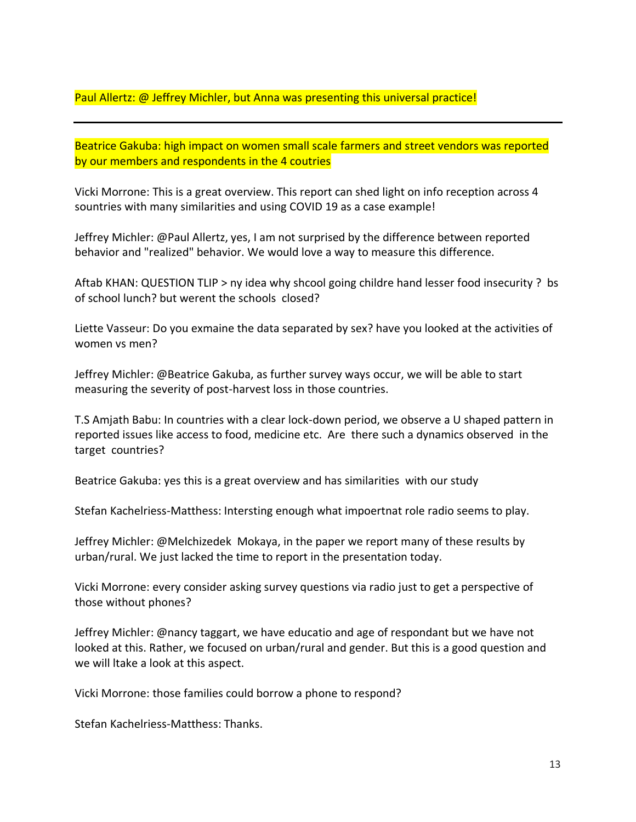Paul Allertz: @ Jeffrey Michler, but Anna was presenting this universal practice!

Beatrice Gakuba: high impact on women small scale farmers and street vendors was reported by our members and respondents in the 4 coutries

Vicki Morrone: This is a great overview. This report can shed light on info reception across 4 sountries with many similarities and using COVID 19 as a case example!

Jeffrey Michler: @Paul Allertz, yes, I am not surprised by the difference between reported behavior and "realized" behavior. We would love a way to measure this difference.

Aftab KHAN: QUESTION TLIP > ny idea why shcool going childre hand lesser food insecurity ? bs of school lunch? but werent the schools closed?

Liette Vasseur: Do you exmaine the data separated by sex? have you looked at the activities of women vs men?

Jeffrey Michler: @Beatrice Gakuba, as further survey ways occur, we will be able to start measuring the severity of post-harvest loss in those countries.

T.S Amjath Babu: In countries with a clear lock-down period, we observe a U shaped pattern in reported issues like access to food, medicine etc. Are there such a dynamics observed in the target countries?

Beatrice Gakuba: yes this is a great overview and has similarities with our study

Stefan Kachelriess-Matthess: Intersting enough what impoertnat role radio seems to play.

Jeffrey Michler: @Melchizedek Mokaya, in the paper we report many of these results by urban/rural. We just lacked the time to report in the presentation today.

Vicki Morrone: every consider asking survey questions via radio just to get a perspective of those without phones?

Jeffrey Michler: @nancy taggart, we have educatio and age of respondant but we have not looked at this. Rather, we focused on urban/rural and gender. But this is a good question and we will ltake a look at this aspect.

Vicki Morrone: those families could borrow a phone to respond?

Stefan Kachelriess-Matthess: Thanks.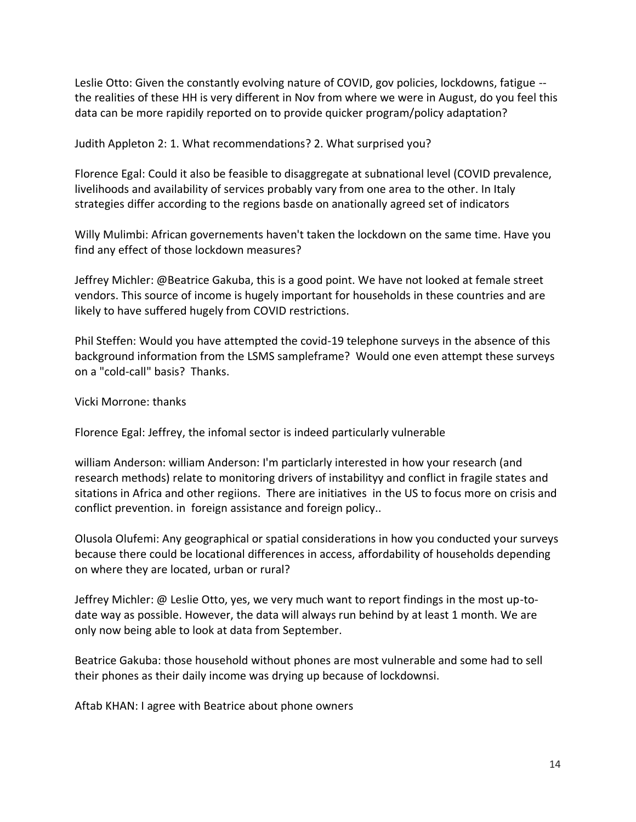Leslie Otto: Given the constantly evolving nature of COVID, gov policies, lockdowns, fatigue - the realities of these HH is very different in Nov from where we were in August, do you feel this data can be more rapidily reported on to provide quicker program/policy adaptation?

Judith Appleton 2: 1. What recommendations? 2. What surprised you?

Florence Egal: Could it also be feasible to disaggregate at subnational level (COVID prevalence, livelihoods and availability of services probably vary from one area to the other. In Italy strategies differ according to the regions basde on anationally agreed set of indicators

Willy Mulimbi: African governements haven't taken the lockdown on the same time. Have you find any effect of those lockdown measures?

Jeffrey Michler: @Beatrice Gakuba, this is a good point. We have not looked at female street vendors. This source of income is hugely important for households in these countries and are likely to have suffered hugely from COVID restrictions.

Phil Steffen: Would you have attempted the covid-19 telephone surveys in the absence of this background information from the LSMS sampleframe? Would one even attempt these surveys on a "cold-call" basis? Thanks.

Vicki Morrone: thanks

Florence Egal: Jeffrey, the infomal sector is indeed particularly vulnerable

william Anderson: william Anderson: I'm particlarly interested in how your research (and research methods) relate to monitoring drivers of instabilityy and conflict in fragile states and sitations in Africa and other regiions. There are initiatives in the US to focus more on crisis and conflict prevention. in foreign assistance and foreign policy..

Olusola Olufemi: Any geographical or spatial considerations in how you conducted your surveys because there could be locational differences in access, affordability of households depending on where they are located, urban or rural?

Jeffrey Michler: @ Leslie Otto, yes, we very much want to report findings in the most up-todate way as possible. However, the data will always run behind by at least 1 month. We are only now being able to look at data from September.

Beatrice Gakuba: those household without phones are most vulnerable and some had to sell their phones as their daily income was drying up because of lockdownsi.

Aftab KHAN: I agree with Beatrice about phone owners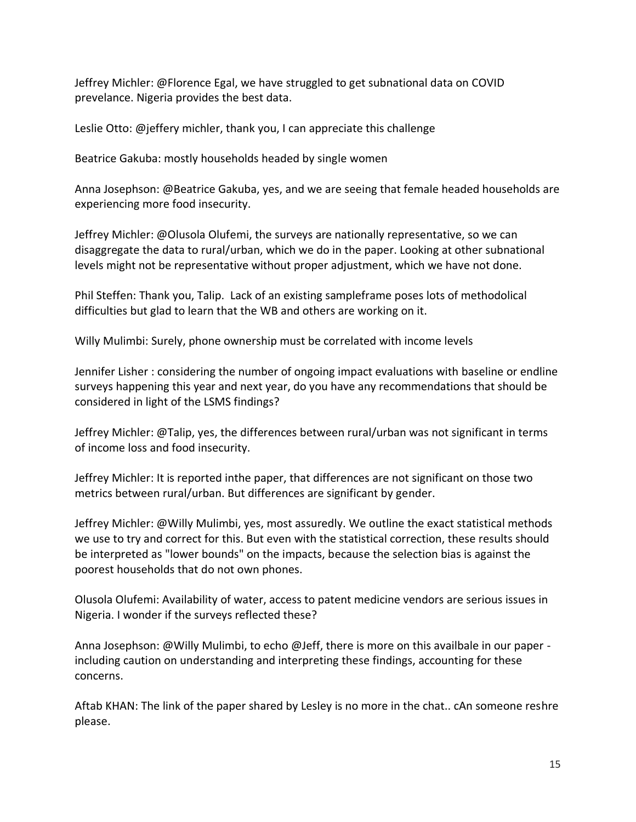Jeffrey Michler: @Florence Egal, we have struggled to get subnational data on COVID prevelance. Nigeria provides the best data.

Leslie Otto: @jeffery michler, thank you, I can appreciate this challenge

Beatrice Gakuba: mostly households headed by single women

Anna Josephson: @Beatrice Gakuba, yes, and we are seeing that female headed households are experiencing more food insecurity.

Jeffrey Michler: @Olusola Olufemi, the surveys are nationally representative, so we can disaggregate the data to rural/urban, which we do in the paper. Looking at other subnational levels might not be representative without proper adjustment, which we have not done.

Phil Steffen: Thank you, Talip. Lack of an existing sampleframe poses lots of methodolical difficulties but glad to learn that the WB and others are working on it.

Willy Mulimbi: Surely, phone ownership must be correlated with income levels

Jennifer Lisher : considering the number of ongoing impact evaluations with baseline or endline surveys happening this year and next year, do you have any recommendations that should be considered in light of the LSMS findings?

Jeffrey Michler: @Talip, yes, the differences between rural/urban was not significant in terms of income loss and food insecurity.

Jeffrey Michler: It is reported inthe paper, that differences are not significant on those two metrics between rural/urban. But differences are significant by gender.

Jeffrey Michler: @Willy Mulimbi, yes, most assuredly. We outline the exact statistical methods we use to try and correct for this. But even with the statistical correction, these results should be interpreted as "lower bounds" on the impacts, because the selection bias is against the poorest households that do not own phones.

Olusola Olufemi: Availability of water, access to patent medicine vendors are serious issues in Nigeria. I wonder if the surveys reflected these?

Anna Josephson: @Willy Mulimbi, to echo @Jeff, there is more on this availbale in our paper including caution on understanding and interpreting these findings, accounting for these concerns.

Aftab KHAN: The link of the paper shared by Lesley is no more in the chat.. cAn someone reshre please.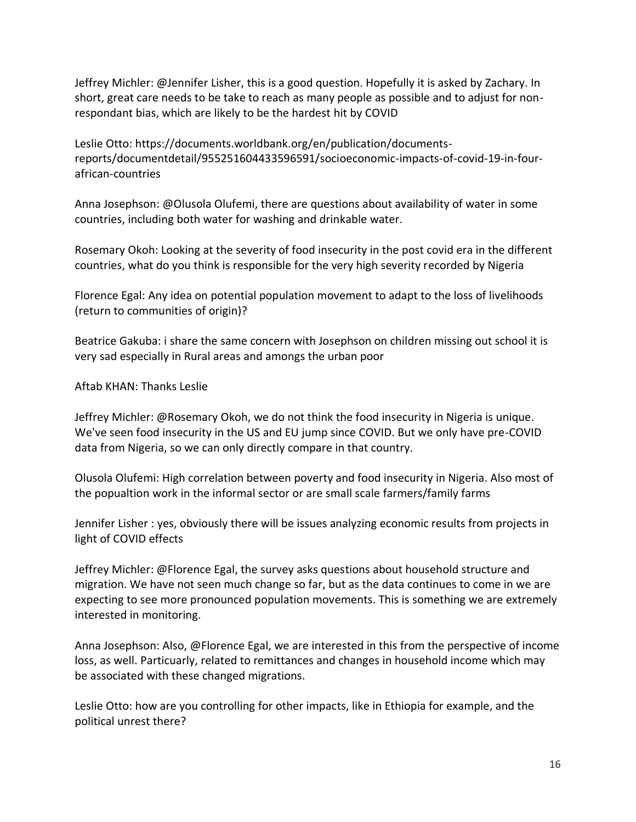Jeffrey Michler: @Jennifer Lisher, this is a good question. Hopefully it is asked by Zachary. In short, great care needs to be take to reach as many people as possible and to adjust for nonrespondant bias, which are likely to be the hardest hit by COVID

Leslie Otto: https://documents.worldbank.org/en/publication/documentsreports/documentdetail/955251604433596591/socioeconomic-impacts-of-covid-19-in-fourafrican-countries

Anna Josephson: @Olusola Olufemi, there are questions about availability of water in some countries, including both water for washing and drinkable water.

Rosemary Okoh: Looking at the severity of food insecurity in the post covid era in the different countries, what do you think is responsible for the very high severity recorded by Nigeria

Florence Egal: Any idea on potential population movement to adapt to the loss of livelihoods (return to communities of origin)?

Beatrice Gakuba: i share the same concern with Josephson on children missing out school it is very sad especially in Rural areas and amongs the urban poor

Aftab KHAN: Thanks Leslie

Jeffrey Michler: @Rosemary Okoh, we do not think the food insecurity in Nigeria is unique. We've seen food insecurity in the US and EU jump since COVID. But we only have pre-COVID data from Nigeria, so we can only directly compare in that country.

Olusola Olufemi: High correlation between poverty and food insecurity in Nigeria. Also most of the popualtion work in the informal sector or are small scale farmers/family farms

Jennifer Lisher : yes, obviously there will be issues analyzing economic results from projects in light of COVID effects

Jeffrey Michler: @Florence Egal, the survey asks questions about household structure and migration. We have not seen much change so far, but as the data continues to come in we are expecting to see more pronounced population movements. This is something we are extremely interested in monitoring.

Anna Josephson: Also, @Florence Egal, we are interested in this from the perspective of income loss, as well. Particuarly, related to remittances and changes in household income which may be associated with these changed migrations.

Leslie Otto: how are you controlling for other impacts, like in Ethiopia for example, and the political unrest there?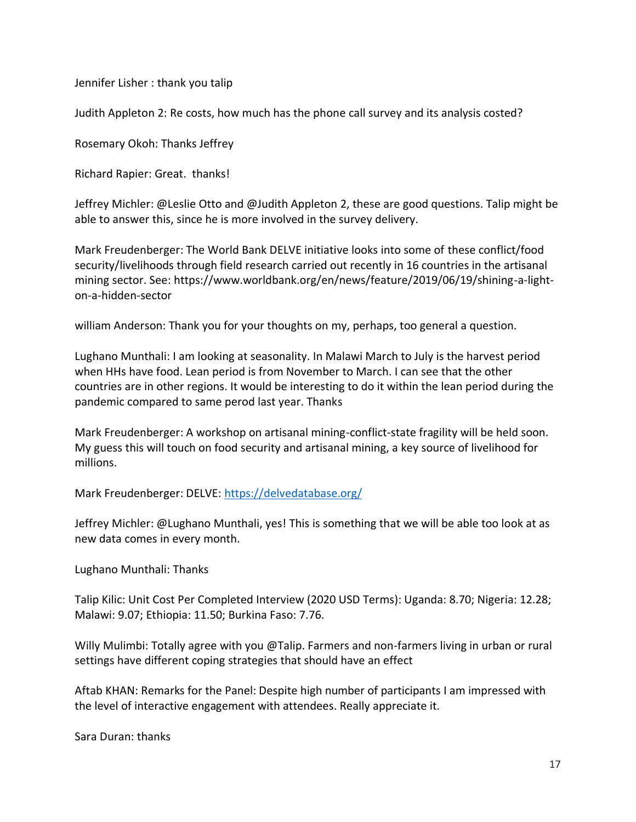Jennifer Lisher : thank you talip

Judith Appleton 2: Re costs, how much has the phone call survey and its analysis costed?

Rosemary Okoh: Thanks Jeffrey

Richard Rapier: Great. thanks!

Jeffrey Michler: @Leslie Otto and @Judith Appleton 2, these are good questions. Talip might be able to answer this, since he is more involved in the survey delivery.

Mark Freudenberger: The World Bank DELVE initiative looks into some of these conflict/food security/livelihoods through field research carried out recently in 16 countries in the artisanal mining sector. See: https://www.worldbank.org/en/news/feature/2019/06/19/shining-a-lighton-a-hidden-sector

william Anderson: Thank you for your thoughts on my, perhaps, too general a question.

Lughano Munthali: I am looking at seasonality. In Malawi March to July is the harvest period when HHs have food. Lean period is from November to March. I can see that the other countries are in other regions. It would be interesting to do it within the lean period during the pandemic compared to same perod last year. Thanks

Mark Freudenberger: A workshop on artisanal mining-conflict-state fragility will be held soon. My guess this will touch on food security and artisanal mining, a key source of livelihood for millions.

Mark Freudenberger: DELVE:<https://delvedatabase.org/>

Jeffrey Michler: @Lughano Munthali, yes! This is something that we will be able too look at as new data comes in every month.

Lughano Munthali: Thanks

Talip Kilic: Unit Cost Per Completed Interview (2020 USD Terms): Uganda: 8.70; Nigeria: 12.28; Malawi: 9.07; Ethiopia: 11.50; Burkina Faso: 7.76.

Willy Mulimbi: Totally agree with you @Talip. Farmers and non-farmers living in urban or rural settings have different coping strategies that should have an effect

Aftab KHAN: Remarks for the Panel: Despite high number of participants I am impressed with the level of interactive engagement with attendees. Really appreciate it.

Sara Duran: thanks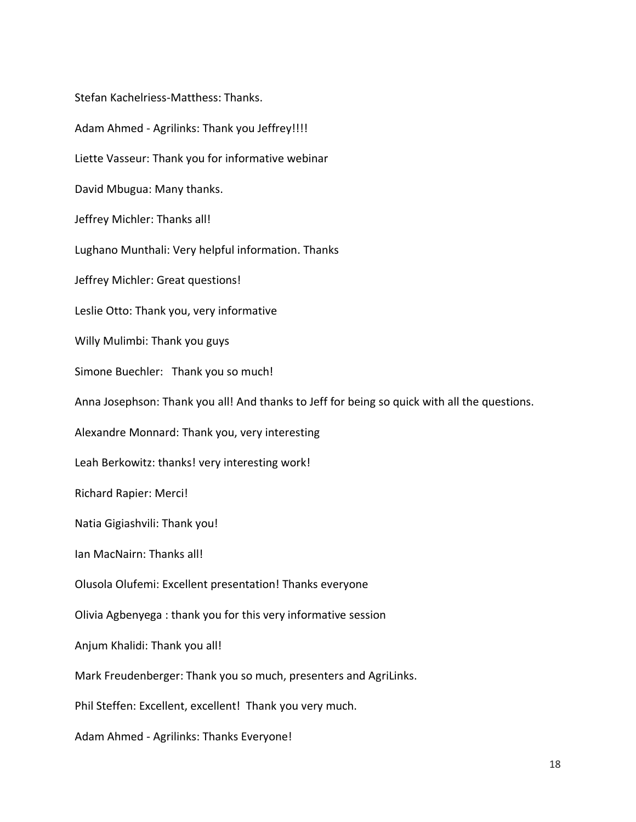Stefan Kachelriess-Matthess: Thanks. Adam Ahmed - Agrilinks: Thank you Jeffrey!!!! Liette Vasseur: Thank you for informative webinar David Mbugua: Many thanks. Jeffrey Michler: Thanks all! Lughano Munthali: Very helpful information. Thanks Jeffrey Michler: Great questions! Leslie Otto: Thank you, very informative Willy Mulimbi: Thank you guys Simone Buechler: Thank you so much! Anna Josephson: Thank you all! And thanks to Jeff for being so quick with all the questions. Alexandre Monnard: Thank you, very interesting Leah Berkowitz: thanks! very interesting work! Richard Rapier: Merci! Natia Gigiashvili: Thank you! Ian MacNairn: Thanks all! Olusola Olufemi: Excellent presentation! Thanks everyone Olivia Agbenyega : thank you for this very informative session Anjum Khalidi: Thank you all! Mark Freudenberger: Thank you so much, presenters and AgriLinks. Phil Steffen: Excellent, excellent! Thank you very much. Adam Ahmed - Agrilinks: Thanks Everyone!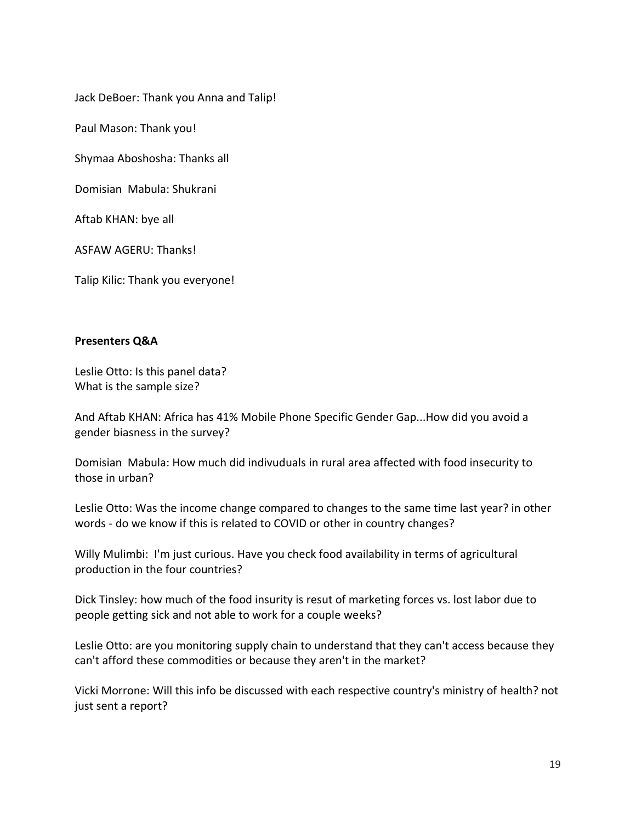Jack DeBoer: Thank you Anna and Talip!

Paul Mason: Thank you!

Shymaa Aboshosha: Thanks all

Domisian Mabula: Shukrani

Aftab KHAN: bye all

ASFAW AGERU: Thanks!

Talip Kilic: Thank you everyone!

## **Presenters Q&A**

Leslie Otto: Is this panel data? What is the sample size?

And Aftab KHAN: Africa has 41% Mobile Phone Specific Gender Gap...How did you avoid a gender biasness in the survey?

Domisian Mabula: How much did indivuduals in rural area affected with food insecurity to those in urban?

Leslie Otto: Was the income change compared to changes to the same time last year? in other words - do we know if this is related to COVID or other in country changes?

Willy Mulimbi: I'm just curious. Have you check food availability in terms of agricultural production in the four countries?

Dick Tinsley: how much of the food insurity is resut of marketing forces vs. lost labor due to people getting sick and not able to work for a couple weeks?

Leslie Otto: are you monitoring supply chain to understand that they can't access because they can't afford these commodities or because they aren't in the market?

Vicki Morrone: Will this info be discussed with each respective country's ministry of health? not just sent a report?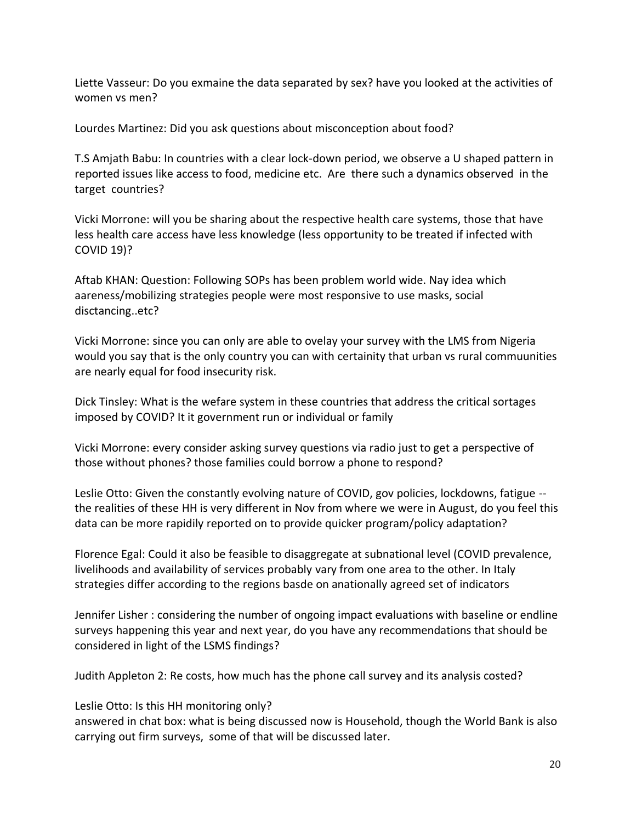Liette Vasseur: Do you exmaine the data separated by sex? have you looked at the activities of women vs men?

Lourdes Martinez: Did you ask questions about misconception about food?

T.S Amjath Babu: In countries with a clear lock-down period, we observe a U shaped pattern in reported issues like access to food, medicine etc. Are there such a dynamics observed in the target countries?

Vicki Morrone: will you be sharing about the respective health care systems, those that have less health care access have less knowledge (less opportunity to be treated if infected with COVID 19)?

Aftab KHAN: Question: Following SOPs has been problem world wide. Nay idea which aareness/mobilizing strategies people were most responsive to use masks, social disctancing..etc?

Vicki Morrone: since you can only are able to ovelay your survey with the LMS from Nigeria would you say that is the only country you can with certainity that urban vs rural commuunities are nearly equal for food insecurity risk.

Dick Tinsley: What is the wefare system in these countries that address the critical sortages imposed by COVID? It it government run or individual or family

Vicki Morrone: every consider asking survey questions via radio just to get a perspective of those without phones? those families could borrow a phone to respond?

Leslie Otto: Given the constantly evolving nature of COVID, gov policies, lockdowns, fatigue - the realities of these HH is very different in Nov from where we were in August, do you feel this data can be more rapidily reported on to provide quicker program/policy adaptation?

Florence Egal: Could it also be feasible to disaggregate at subnational level (COVID prevalence, livelihoods and availability of services probably vary from one area to the other. In Italy strategies differ according to the regions basde on anationally agreed set of indicators

Jennifer Lisher : considering the number of ongoing impact evaluations with baseline or endline surveys happening this year and next year, do you have any recommendations that should be considered in light of the LSMS findings?

Judith Appleton 2: Re costs, how much has the phone call survey and its analysis costed?

Leslie Otto: Is this HH monitoring only?

answered in chat box: what is being discussed now is Household, though the World Bank is also carrying out firm surveys, some of that will be discussed later.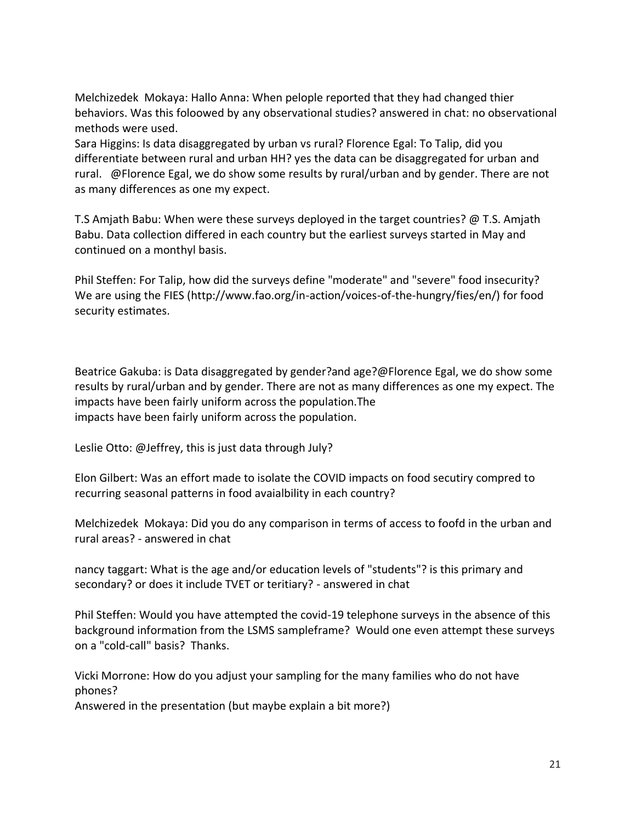Melchizedek Mokaya: Hallo Anna: When pelople reported that they had changed thier behaviors. Was this foloowed by any observational studies? answered in chat: no observational methods were used.

Sara Higgins: Is data disaggregated by urban vs rural? Florence Egal: To Talip, did you differentiate between rural and urban HH? yes the data can be disaggregated for urban and rural. @Florence Egal, we do show some results by rural/urban and by gender. There are not as many differences as one my expect.

T.S Amjath Babu: When were these surveys deployed in the target countries?  $\omega$  T.S. Amjath Babu. Data collection differed in each country but the earliest surveys started in May and continued on a monthyl basis.

Phil Steffen: For Talip, how did the surveys define "moderate" and "severe" food insecurity? We are using the FIES (http://www.fao.org/in-action/voices-of-the-hungry/fies/en/) for food security estimates.

Beatrice Gakuba: is Data disaggregated by gender?and age?@Florence Egal, we do show some results by rural/urban and by gender. There are not as many differences as one my expect. The impacts have been fairly uniform across the population.The impacts have been fairly uniform across the population.

Leslie Otto: @Jeffrey, this is just data through July?

Elon Gilbert: Was an effort made to isolate the COVID impacts on food secutiry compred to recurring seasonal patterns in food avaialbility in each country?

Melchizedek Mokaya: Did you do any comparison in terms of access to foofd in the urban and rural areas? - answered in chat

nancy taggart: What is the age and/or education levels of "students"? is this primary and secondary? or does it include TVET or teritiary? - answered in chat

Phil Steffen: Would you have attempted the covid-19 telephone surveys in the absence of this background information from the LSMS sampleframe? Would one even attempt these surveys on a "cold-call" basis? Thanks.

Vicki Morrone: How do you adjust your sampling for the many families who do not have phones?

Answered in the presentation (but maybe explain a bit more?)